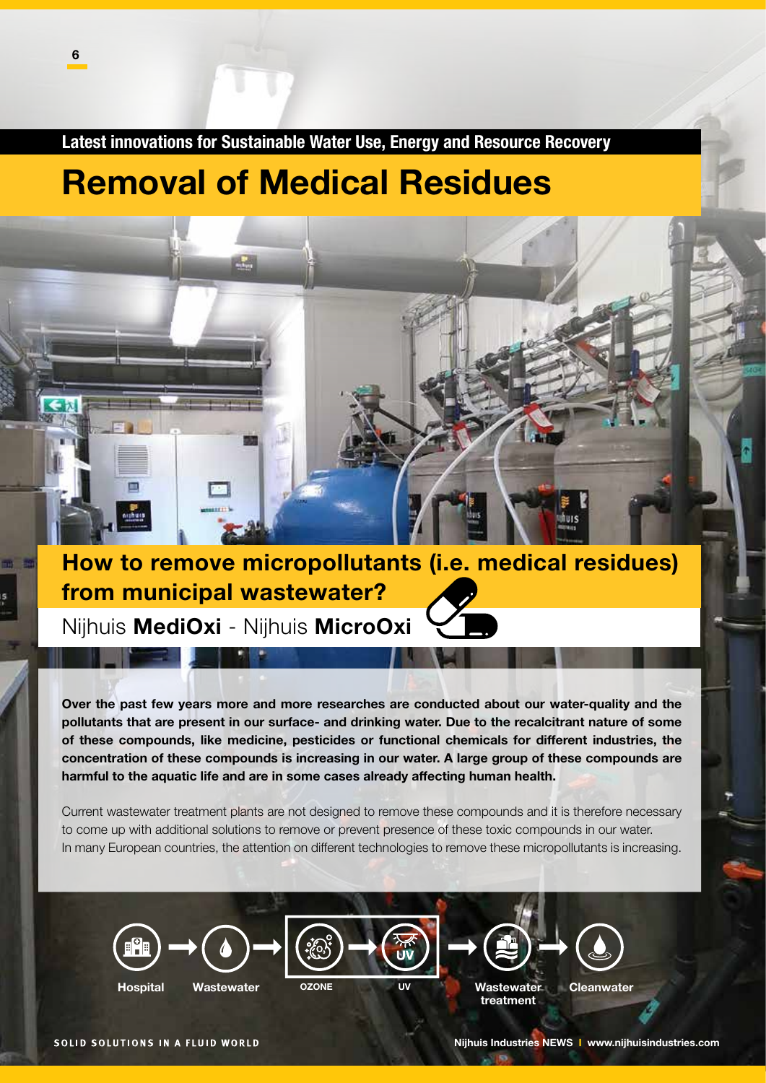Latest innovations for Sustainable Water Use, Energy and Resource Recovery

# Removal of Medical Residues



Nijhuis MediOxi - Nijhuis MicroOxi

 $\mathbf{r}$ 

時間

Over the past few years more and more researches are conducted about our water-quality and the pollutants that are present in our surface- and drinking water. Due to the recalcitrant nature of some of these compounds, like medicine, pesticides or functional chemicals for different industries, the concentration of these compounds is increasing in our water. A large group of these compounds are harmful to the aquatic life and are in some cases already affecting human health.

Current wastewater treatment plants are not designed to remove these compounds and it is therefore necessary to come up with additional solutions to remove or prevent presence of these toxic compounds in our water. In many European countries, the attention on different technologies to remove these micropollutants is increasing.





Hospital Wastewater OZONE UV Wastewater Cleanwater treatment

SOLID SOLUTIONS IN A FLUID WORLD